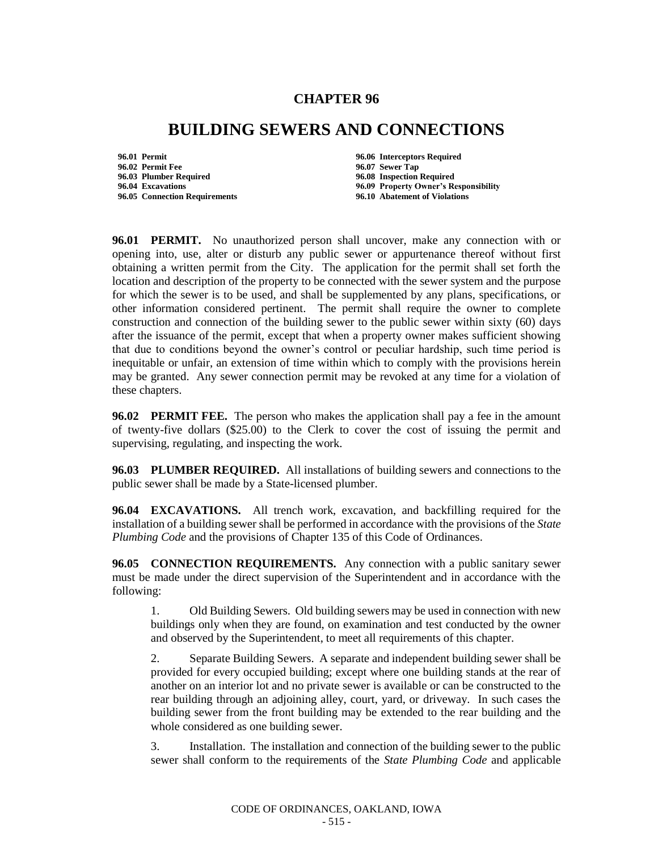## **CHAPTER 96**

## **BUILDING SEWERS AND CONNECTIONS**

**96.01 Permit 96.06 Interceptors Required 96.02 Permit Fee 96.07 Sewer Tap 96.05 Connection Requirements** 

**96.08 Inspection Required 96.04 Excavations 96.09 Property Owner's Responsibility**

**96.01 PERMIT.** No unauthorized person shall uncover, make any connection with or opening into, use, alter or disturb any public sewer or appurtenance thereof without first obtaining a written permit from the City. The application for the permit shall set forth the location and description of the property to be connected with the sewer system and the purpose for which the sewer is to be used, and shall be supplemented by any plans, specifications, or other information considered pertinent. The permit shall require the owner to complete construction and connection of the building sewer to the public sewer within sixty (60) days after the issuance of the permit, except that when a property owner makes sufficient showing that due to conditions beyond the owner's control or peculiar hardship, such time period is inequitable or unfair, an extension of time within which to comply with the provisions herein may be granted. Any sewer connection permit may be revoked at any time for a violation of these chapters.

**96.02 PERMIT FEE.** The person who makes the application shall pay a fee in the amount of twenty-five dollars (\$25.00) to the Clerk to cover the cost of issuing the permit and supervising, regulating, and inspecting the work.

**96.03 PLUMBER REQUIRED.** All installations of building sewers and connections to the public sewer shall be made by a State-licensed plumber.

**96.04 EXCAVATIONS.** All trench work, excavation, and backfilling required for the installation of a building sewer shall be performed in accordance with the provisions of the *State Plumbing Code* and the provisions of Chapter 135 of this Code of Ordinances.

**96.05 CONNECTION REQUIREMENTS.** Any connection with a public sanitary sewer must be made under the direct supervision of the Superintendent and in accordance with the following:

1. Old Building Sewers. Old building sewers may be used in connection with new buildings only when they are found, on examination and test conducted by the owner and observed by the Superintendent, to meet all requirements of this chapter.

2. Separate Building Sewers. A separate and independent building sewer shall be provided for every occupied building; except where one building stands at the rear of another on an interior lot and no private sewer is available or can be constructed to the rear building through an adjoining alley, court, yard, or driveway. In such cases the building sewer from the front building may be extended to the rear building and the whole considered as one building sewer.

3. Installation. The installation and connection of the building sewer to the public sewer shall conform to the requirements of the *State Plumbing Code* and applicable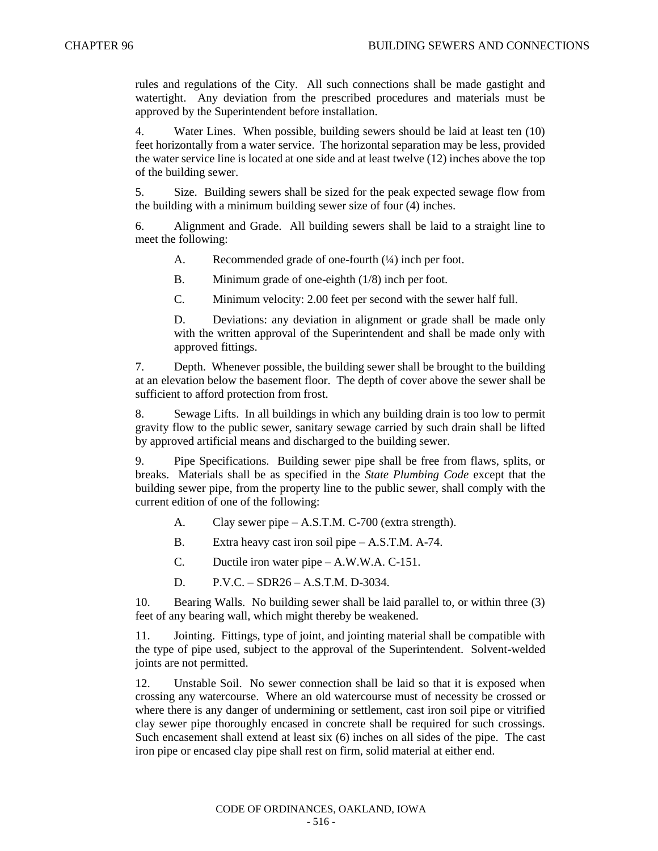rules and regulations of the City. All such connections shall be made gastight and watertight. Any deviation from the prescribed procedures and materials must be approved by the Superintendent before installation.

4. Water Lines. When possible, building sewers should be laid at least ten (10) feet horizontally from a water service. The horizontal separation may be less, provided the water service line is located at one side and at least twelve (12) inches above the top of the building sewer.

5. Size. Building sewers shall be sized for the peak expected sewage flow from the building with a minimum building sewer size of four (4) inches.

6. Alignment and Grade. All building sewers shall be laid to a straight line to meet the following:

A. Recommended grade of one-fourth  $(½)$  inch per foot.

B. Minimum grade of one-eighth (1/8) inch per foot.

C. Minimum velocity: 2.00 feet per second with the sewer half full.

D. Deviations: any deviation in alignment or grade shall be made only with the written approval of the Superintendent and shall be made only with approved fittings.

7. Depth. Whenever possible, the building sewer shall be brought to the building at an elevation below the basement floor. The depth of cover above the sewer shall be sufficient to afford protection from frost.

8. Sewage Lifts. In all buildings in which any building drain is too low to permit gravity flow to the public sewer, sanitary sewage carried by such drain shall be lifted by approved artificial means and discharged to the building sewer.

9. Pipe Specifications. Building sewer pipe shall be free from flaws, splits, or breaks. Materials shall be as specified in the *State Plumbing Code* except that the building sewer pipe, from the property line to the public sewer, shall comply with the current edition of one of the following:

- A. Clay sewer pipe A.S.T.M. C-700 (extra strength).
- B. Extra heavy cast iron soil pipe A.S.T.M. A-74.
- C. Ductile iron water pipe A.W.W.A. C-151.
- D. P.V.C. SDR26 A.S.T.M. D-3034.

10. Bearing Walls. No building sewer shall be laid parallel to, or within three (3) feet of any bearing wall, which might thereby be weakened.

11. Jointing. Fittings, type of joint, and jointing material shall be compatible with the type of pipe used, subject to the approval of the Superintendent. Solvent-welded joints are not permitted.

12. Unstable Soil. No sewer connection shall be laid so that it is exposed when crossing any watercourse. Where an old watercourse must of necessity be crossed or where there is any danger of undermining or settlement, cast iron soil pipe or vitrified clay sewer pipe thoroughly encased in concrete shall be required for such crossings. Such encasement shall extend at least six (6) inches on all sides of the pipe. The cast iron pipe or encased clay pipe shall rest on firm, solid material at either end.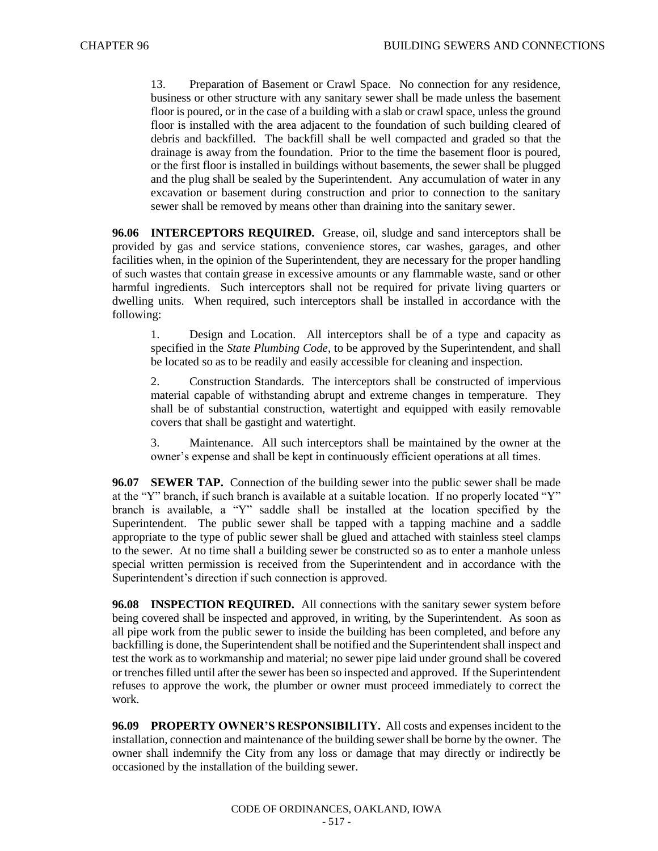13. Preparation of Basement or Crawl Space. No connection for any residence, business or other structure with any sanitary sewer shall be made unless the basement floor is poured, or in the case of a building with a slab or crawl space, unless the ground floor is installed with the area adjacent to the foundation of such building cleared of debris and backfilled. The backfill shall be well compacted and graded so that the drainage is away from the foundation. Prior to the time the basement floor is poured, or the first floor is installed in buildings without basements, the sewer shall be plugged and the plug shall be sealed by the Superintendent. Any accumulation of water in any excavation or basement during construction and prior to connection to the sanitary sewer shall be removed by means other than draining into the sanitary sewer.

**96.06 INTERCEPTORS REQUIRED.** Grease, oil, sludge and sand interceptors shall be provided by gas and service stations, convenience stores, car washes, garages, and other facilities when, in the opinion of the Superintendent, they are necessary for the proper handling of such wastes that contain grease in excessive amounts or any flammable waste, sand or other harmful ingredients. Such interceptors shall not be required for private living quarters or dwelling units. When required, such interceptors shall be installed in accordance with the following:

1. Design and Location. All interceptors shall be of a type and capacity as specified in the *State Plumbing Code*, to be approved by the Superintendent, and shall be located so as to be readily and easily accessible for cleaning and inspection.

2. Construction Standards. The interceptors shall be constructed of impervious material capable of withstanding abrupt and extreme changes in temperature. They shall be of substantial construction, watertight and equipped with easily removable covers that shall be gastight and watertight.

3. Maintenance. All such interceptors shall be maintained by the owner at the owner's expense and shall be kept in continuously efficient operations at all times.

**96.07 SEWER TAP.** Connection of the building sewer into the public sewer shall be made at the "Y" branch, if such branch is available at a suitable location. If no properly located "Y" branch is available, a "Y" saddle shall be installed at the location specified by the Superintendent. The public sewer shall be tapped with a tapping machine and a saddle appropriate to the type of public sewer shall be glued and attached with stainless steel clamps to the sewer. At no time shall a building sewer be constructed so as to enter a manhole unless special written permission is received from the Superintendent and in accordance with the Superintendent's direction if such connection is approved.

**96.08 INSPECTION REQUIRED.** All connections with the sanitary sewer system before being covered shall be inspected and approved, in writing, by the Superintendent. As soon as all pipe work from the public sewer to inside the building has been completed, and before any backfilling is done, the Superintendent shall be notified and the Superintendent shall inspect and test the work as to workmanship and material; no sewer pipe laid under ground shall be covered or trenches filled until after the sewer has been so inspected and approved. If the Superintendent refuses to approve the work, the plumber or owner must proceed immediately to correct the work.

**96.09 PROPERTY OWNER'S RESPONSIBILITY.** All costs and expenses incident to the installation, connection and maintenance of the building sewer shall be borne by the owner. The owner shall indemnify the City from any loss or damage that may directly or indirectly be occasioned by the installation of the building sewer.